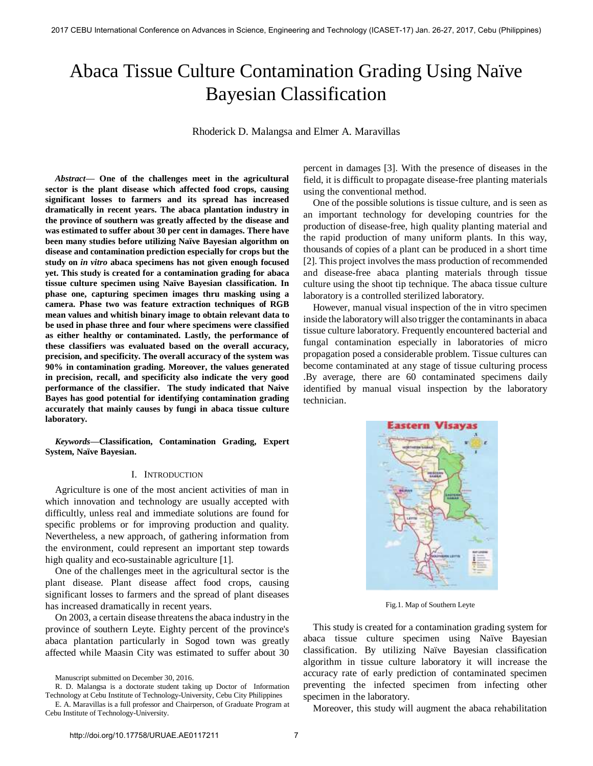# Abaca Tissue Culture Contamination Grading Using Naïve Bayesian Classification

Rhoderick D. Malangsa and Elmer A. Maravillas

*Abstract***— One of the challenges meet in the agricultural sector is the plant disease which affected food crops, causing significant losses to farmers and its spread has increased dramatically in recent years. The abaca plantation industry in the province of southern was greatly affected by the disease and was estimated to suffer about 30 per cent in damages. There have been many studies before utilizing Naïve Bayesian algorithm on disease and contamination prediction especially for crops but the study on** *in vitro* **abaca specimens has not given enough focused yet. This study is created for a contamination grading for abaca tissue culture specimen using Naïve Bayesian classification. In phase one, capturing specimen images thru masking using a camera. Phase two was feature extraction techniques of RGB mean values and whitish binary image to obtain relevant data to be used in phase three and four where specimens were classified as either healthy or contaminated. Lastly, the performance of these classifiers was evaluated based on the overall accuracy, precision, and specificity. The overall accuracy of the system was 90% in contamination grading. Moreover, the values generated in precision, recall, and specificity also indicate the very good performance of the classifier. The study indicated that Naive Bayes has good potential for identifying contamination grading accurately that mainly causes by fungi in abaca tissue culture laboratory.** 

*Keywords***—Classification, Contamination Grading, Expert System, Naïve Bayesian.** 

## I. INTRODUCTION

Agriculture is one of the most ancient activities of man in which innovation and technology are usually accepted with difficultly, unless real and immediate solutions are found for specific problems or for improving production and quality. Nevertheless, a new approach, of gathering information from the environment, could represent an important step towards high quality and eco-sustainable agriculture [1].

One of the challenges meet in the agricultural sector is the plant disease. Plant disease affect food crops, causing significant losses to farmers and the spread of plant diseases has increased dramatically in recent years.

On 2003, a certain disease threatens the abaca industry in the province of southern Leyte. Eighty percent of the province's abaca plantation particularly in Sogod town was greatly affected while Maasin City was estimated to suffer about 30

Manuscript submitted on December 30, 2016.

R. D. Malangsa is a doctorate student taking up Doctor of Information Technology at Cebu Institute of Technology-University, Cebu City Philippines E. A. Maravillas is a full professor and Chairperson, of Graduate Program at

Cebu Institute of Technology-University.

percent in damages [3]. With the presence of diseases in the field, it is difficult to propagate disease-free planting materials using the conventional method.

One of the possible solutions is tissue culture, and is seen as an important technology for developing countries for the production of disease-free, high quality planting material and the rapid production of many uniform plants. In this way, thousands of copies of a plant can be produced in a short time [2]. This project involves the mass production of recommended and disease-free abaca planting materials through tissue culture using the shoot tip technique. The abaca tissue culture laboratory is a controlled sterilized laboratory.

However, manual visual inspection of the in vitro specimen inside the laboratory will also trigger the contaminants in abaca tissue culture laboratory. Frequently encountered bacterial and fungal contamination especially in laboratories of micro propagation posed a considerable problem. Tissue cultures can become contaminated at any stage of tissue culturing process .By average, there are 60 contaminated specimens daily identified by manual visual inspection by the laboratory technician.



Fig.1. Map of Southern Leyte

This study is created for a contamination grading system for abaca tissue culture specimen using Naïve Bayesian classification. By utilizing Naïve Bayesian classification algorithm in tissue culture laboratory it will increase the accuracy rate of early prediction of contaminated specimen preventing the infected specimen from infecting other specimen in the laboratory.

Moreover, this study will augment the abaca rehabilitation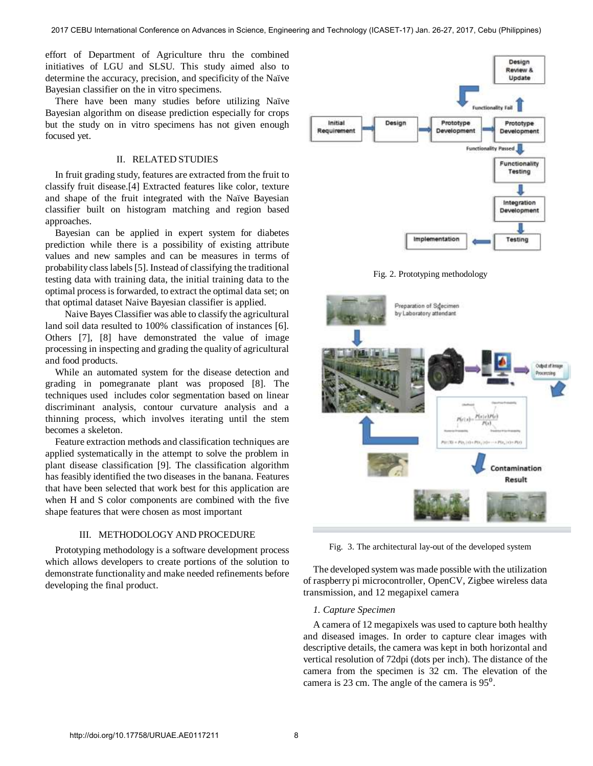effort of Department of Agriculture thru the combined initiatives of LGU and SLSU. This study aimed also to determine the accuracy, precision, and specificity of the Naïve Bayesian classifier on the in vitro specimens.

There have been many studies before utilizing Naïve Bayesian algorithm on disease prediction especially for crops but the study on in vitro specimens has not given enough focused yet.

## II. RELATED STUDIES

In fruit grading study, features are extracted from the fruit to classify fruit disease.[4] Extracted features like color, texture and shape of the fruit integrated with the Naïve Bayesian classifier built on histogram matching and region based approaches.

Bayesian can be applied in expert system for diabetes prediction while there is a possibility of existing attribute values and new samples and can be measures in terms of probability class labels [5]. Instead of classifying the traditional testing data with training data, the initial training data to the optimal process is forwarded, to extract the optimal data set; on that optimal dataset Naive Bayesian classifier is applied.

 Naive Bayes Classifier was able to classify the agricultural land soil data resulted to 100% classification of instances [6]. Others [7], [8] have demonstrated the value of image processing in inspecting and grading the quality of agricultural and food products.

While an automated system for the disease detection and grading in pomegranate plant was proposed [8]. The techniques used includes color segmentation based on linear discriminant analysis, contour curvature analysis and a thinning process, which involves iterating until the stem becomes a skeleton.

Feature extraction methods and classification techniques are applied systematically in the attempt to solve the problem in plant disease classification [9]. The classification algorithm has feasibly identified the two diseases in the banana. Features that have been selected that work best for this application are when H and S color components are combined with the five shape features that were chosen as most important

## III. METHODOLOGY AND PROCEDURE

Prototyping methodology is a software development process which allows developers to create portions of the solution to demonstrate functionality and make needed refinements before developing the final product.



Fig. 2. Prototyping methodology



Fig. 3. The architectural lay-out of the developed system

The developed system was made possible with the utilization of raspberry pi microcontroller, OpenCV, Zigbee wireless data transmission, and 12 megapixel camera

#### *1. Capture Specimen*

A camera of 12 megapixels was used to capture both healthy and diseased images. In order to capture clear images with descriptive details, the camera was kept in both horizontal and vertical resolution of 72dpi (dots per inch). The distance of the camera from the specimen is 32 cm. The elevation of the camera is 23 cm. The angle of the camera is 95<sup>°</sup>.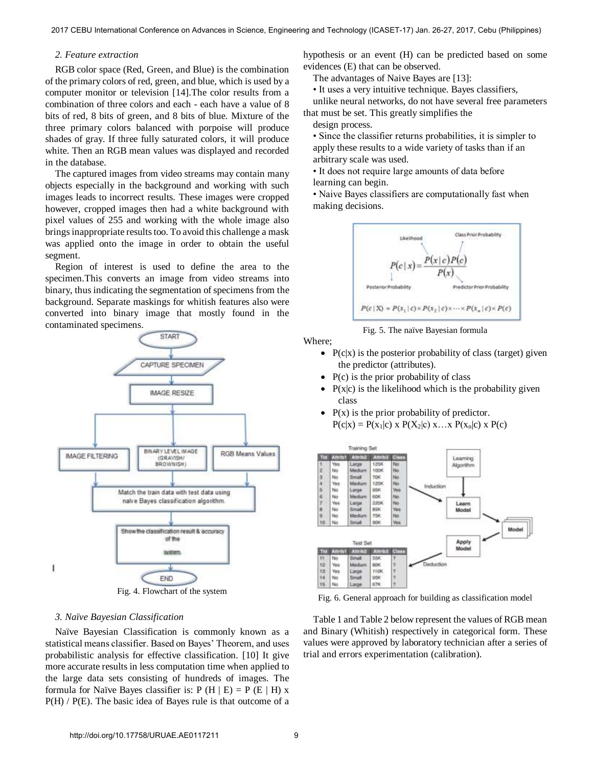## *2. Feature extraction*

RGB color space (Red, Green, and Blue) is the combination of the primary colors of red, green, and blue, which is used by a computer monitor or television [14].The color results from a combination of three colors and each - each have a value of 8 bits of red, 8 bits of green, and 8 bits of blue. Mixture of the three primary colors balanced with porpoise will produce shades of gray. If three fully saturated colors, it will produce white. Then an RGB mean values was displayed and recorded in the database.

The captured images from video streams may contain many objects especially in the background and working with such images leads to incorrect results. These images were cropped however, cropped images then had a white background with pixel values of 255 and working with the whole image also brings inappropriate results too. To avoid this challenge a mask was applied onto the image in order to obtain the useful segment.

Region of interest is used to define the area to the specimen.This converts an image from video streams into binary, thus indicating the segmentation of specimens from the background. Separate maskings for whitish features also were converted into binary image that mostly found in the contaminated specimens.



#### *3. Naïve Bayesian Classification*

Naïve Bayesian Classification is commonly known as a statistical means classifier. Based on Bayes' Theorem, and uses probabilistic analysis for effective classification. [10] It give more accurate results in less computation time when applied to the large data sets consisting of hundreds of images. The formula for Naïve Bayes classifier is:  $P(H | E) = P(E | H) x$ P(H) / P(E). The basic idea of Bayes rule is that outcome of a

hypothesis or an event (H) can be predicted based on some evidences (E) that can be observed.

The advantages of Naive Bayes are [13]:

• It uses a very intuitive technique. Bayes classifiers,

unlike neural networks, do not have several free parameters that must be set. This greatly simplifies the

design process.

• Since the classifier returns probabilities, it is simpler to apply these results to a wide variety of tasks than if an arbitrary scale was used.

• It does not require large amounts of data before learning can begin.

• Naive Bayes classifiers are computationally fast when making decisions.



Fig. 5. The naïve Bayesian formula

Where;

- $P(c|x)$  is the posterior probability of class (target) given the predictor (attributes).
- $\bullet$  P(c) is the prior probability of class
- $P(x|c)$  is the likelihood which is the probability given class
- $P(x)$  is the prior probability of predictor.  $P(c|x) = P(x_1|c)$  x  $P(X_2|c)$  x…x  $P(x_n|c)$  x  $P(c)$



Fig. 6. General approach for building as classification model

Table 1 and Table 2 below represent the values of RGB mean and Binary (Whitish) respectively in categorical form. These values were approved by laboratory technician after a series of trial and errors experimentation (calibration).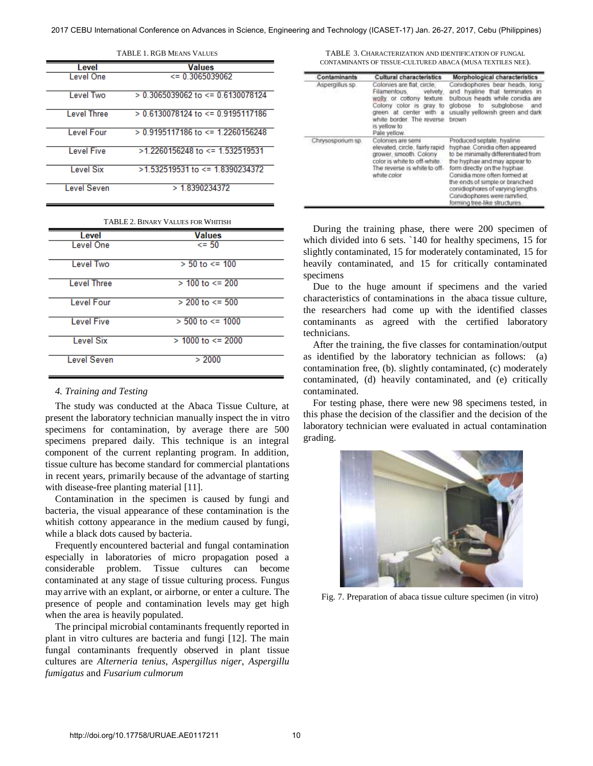| LADLE LAUD MEANS VALUES |                                         |  |  |  |  |
|-------------------------|-----------------------------------------|--|--|--|--|
| Level                   | Values                                  |  |  |  |  |
| Level One               | $\le$ = 0.3065039062                    |  |  |  |  |
| Level Two               | $> 0.3065039062$ to $\leq 0.6130078124$ |  |  |  |  |
| Level Three             | $> 0.6130078124$ to $\leq 0.9195117186$ |  |  |  |  |
| Level Four              | $> 0.9195117186$ to $\leq 1.2260156248$ |  |  |  |  |
| Level Five              | $>1$ 2260156248 to $\leq$ 1.532519531   |  |  |  |  |
| Level Six               | $>1.532519531$ to $\leq$ 1.8390234372   |  |  |  |  |
| <b>Level Seven</b>      | > 1.8390234372                          |  |  |  |  |

| <b>TABLE 1. RGB MEANS VALUES</b> |  |  |  |
|----------------------------------|--|--|--|
|----------------------------------|--|--|--|

TABLE 2. BINARY VALUES FOR WHITISH

| Level              | <b>Values</b>           |
|--------------------|-------------------------|
| Level One          | $\leq$ 50               |
| Level Two          | $> 50$ to $\le$ 100     |
| <b>Level Three</b> | $> 100$ to $\leq 200$   |
| Level Four         | $> 200$ to $\le$ 500    |
| <b>Level Five</b>  | $> 500$ to $\leq 1000$  |
| <b>Level Six</b>   | $> 1000$ to $\leq 2000$ |
| <b>Level Seven</b> | > 2000                  |

#### *4. Training and Testing*

The study was conducted at the Abaca Tissue Culture, at present the laboratory technician manually inspect the in vitro specimens for contamination, by average there are 500 specimens prepared daily. This technique is an integral component of the current replanting program. In addition, tissue culture has become standard for commercial plantations in recent years, primarily because of the advantage of starting with disease-free planting material [11].

Contamination in the specimen is caused by fungi and bacteria, the visual appearance of these contamination is the whitish cottony appearance in the medium caused by fungi, while a black dots caused by bacteria.

Frequently encountered bacterial and fungal contamination especially in laboratories of micro propagation posed a considerable problem. Tissue cultures can become contaminated at any stage of tissue culturing process. Fungus may arrive with an explant, or airborne, or enter a culture. The presence of people and contamination levels may get high when the area is heavily populated.

The principal microbial contaminants frequently reported in plant in vitro cultures are bacteria and fungi [12]. The main fungal contaminants frequently observed in plant tissue cultures are *Alterneria tenius*, *Aspergillus niger*, *Aspergillu fumigatus* and *Fusarium culmorum* 

TABLE 3. CHARACTERIZATION AND IDENTIFICATION OF FUNGAL CONTAMINANTS OF TISSUE-CULTURED ABACA (MUSA TEXTILES NEE).

| Contaminants      | Cultural characteristics                                                                                                                                                                                | Morphological characteristics                                                                                                                                                                                                                                                                                                            |  |  |
|-------------------|---------------------------------------------------------------------------------------------------------------------------------------------------------------------------------------------------------|------------------------------------------------------------------------------------------------------------------------------------------------------------------------------------------------------------------------------------------------------------------------------------------------------------------------------------------|--|--|
| Aspergillus sp    | Colonies are flat: circle.<br>Filamentous.<br>velvety.<br>wolly or cottony<br>texture<br>Colony color is gray to<br>green at center with a<br>white border. The reverse<br>is vellow to<br>Pale yellow. | Conidiophores bear heads, long<br>and hyaline that terminates in<br>bulbous heads while conidia are<br>globose to subglobose<br>and<br>usually vellowish green and dark<br>brown                                                                                                                                                         |  |  |
| Chrysospotium sp. | Colonies are semi<br>elevated, circle, fairly rapid<br>grower, smooth. Colony<br>color is white to off-white<br>The reverse is white to off-<br>white color                                             | Produced septate, hyaline<br>hyphae. Conidia often appeared<br>to be minimally differentiated from<br>the hyphae and may appear to<br>form directly on the hyphae.<br>Conidia more often formed at<br>the ends of simple or branched<br>conidiophores of varying lengths<br>Conidiophores were ramified.<br>forming tree-like structures |  |  |

During the training phase, there were 200 specimen of which divided into 6 sets. `140 for healthy specimens, 15 for slightly contaminated, 15 for moderately contaminated, 15 for heavily contaminated, and 15 for critically contaminated specimens

Due to the huge amount if specimens and the varied characteristics of contaminations in the abaca tissue culture, the researchers had come up with the identified classes contaminants as agreed with the certified laboratory technicians.

After the training, the five classes for contamination/output as identified by the laboratory technician as follows: (a) contamination free, (b). slightly contaminated, (c) moderately contaminated, (d) heavily contaminated, and (e) critically contaminated.

For testing phase, there were new 98 specimens tested, in this phase the decision of the classifier and the decision of the laboratory technician were evaluated in actual contamination grading.



Fig. 7. Preparation of abaca tissue culture specimen (in vitro)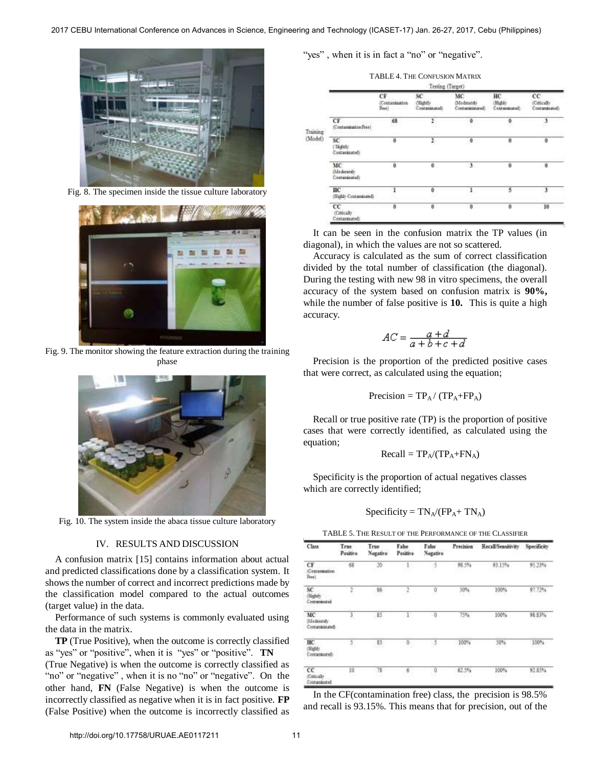

Fig. 8. The specimen inside the tissue culture laboratory



Fig. 9. The monitor showing the feature extraction during the training phase



Fig. 10. The system inside the abaca tissue culture laboratory

## IV. RESULTS AND DISCUSSION

A confusion matrix [15] contains information about actual and predicted classifications done by a classification system. It shows the number of correct and incorrect predictions made by the classification model compared to the actual outcomes (target value) in the data.

Performance of such systems is commonly evaluated using the data in the matrix.

**TP** (True Positive), when the outcome is correctly classified as "yes" or "positive", when it is "yes" or "positive". **TN**

(True Negative) is when the outcome is correctly classified as "no" or "negative", when it is no "no" or "negative". On the other hand, **FN** (False Negative) is when the outcome is incorrectly classified as negative when it is in fact positive. **FP**  (False Positive) when the outcome is incorrectly classified as "yes", when it is in fact a "no" or "negative".

TABLE 4. THE CONFUSION MATRIX

|                                              |                                     | Lesting (Sarget)                                   |                                    |                              |                                    |
|----------------------------------------------|-------------------------------------|----------------------------------------------------|------------------------------------|------------------------------|------------------------------------|
|                                              | CF<br>Contantnation<br>Finell, Inc. | SC <sup></sup><br><b>Stability</b><br>Contaminated | MC<br>Moderately<br>Contamininated | ΗС<br>Highly<br>Centaminated | cc<br>(Cottestly)<br>Conturatated) |
| <b>CONTRACTOR</b><br>CF<br>(CostammetenFree) | 68<br>20 O                          | $\mathbf{r}$<br>93                                 | ۰                                  | ۰<br>m                       | 1<br>58                            |
| SC<br>(Sketch)<br>Contaminated):             | $\bf{0}$                            | r                                                  | $\theta$                           | ō                            | ۰                                  |
| MC<br><b>Olederately</b><br>Contaminated)    | $\alpha$                            | ٥                                                  | $\mathbf{1}$                       | $\ddot{\mathbf{0}}$          | ٥                                  |
| нc<br>Highly Contaminated)                   |                                     | õ                                                  | ı                                  | s                            | 3                                  |
| CC<br>(Concally)<br>Contaminated).           | $\theta$                            | õ                                                  |                                    | ô                            | 10                                 |

 It can be seen in the confusion matrix the TP values (in diagonal), in which the values are not so scattered.

 Accuracy is calculated as the sum of correct classification divided by the total number of classification (the diagonal). During the testing with new 98 in vitro specimens, the overall accuracy of the system based on confusion matrix is **90%,**  while the number of false positive is **10.** This is quite a high accuracy.

$$
AC = \frac{a+d}{a+b+c+d}
$$

Precision is the proportion of the predicted positive cases that were correct, as calculated using the equation;

$$
Precision = TP_A / (TP_A + FP_A)
$$

Recall or true positive rate (TP) is the proportion of positive cases that were correctly identified, as calculated using the equation;

$$
Recall = TP_A/(TP_A + FN_A)
$$

Specificity is the proportion of actual negatives classes which are correctly identified;

$$
Specificity = TN_A/(FP_A + TN_A)
$$

TABLE 5. THE RESULT OF THE PERFORMANCE OF THE CLASSIFIER

| Class                               | True<br>Positive | True<br>Negative      | Fabe<br>Positive | False<br>Negative    | <b>Precision</b> | Recall Sensitivity        | Specificity       |
|-------------------------------------|------------------|-----------------------|------------------|----------------------|------------------|---------------------------|-------------------|
| CF<br>Contamination<br>Free)        | 68               | $\mathcal{D}$<br>a co | $-1$<br>œ        | -3                   | 98.5%<br>an sa   | 93.15%                    | 95.23%            |
| SC.<br>Sightly<br>Containmated      | ž                | 86<br>avo             |                  | ø                    | 50%<br>237.AV    | 100%<br>-1009             | 97.72%            |
| MC<br>Mederately<br>Contaminated    | 3,               | 85                    | $1^\circ$        | $\ddot{\phantom{0}}$ | 75%              | 100%                      | 98.83%            |
| ĦС<br>(Highly<br>Contaminated)      | s.<br>55         | 厨<br>48.54            | $\Phi$ .<br>-29  | $\geq$               | 100%             | 50 <sup>k</sup> e<br>2020 | 100%<br>66 B.B    |
| $_{cc}$<br>Colorado<br>Contaminated | 10<br>65         | - 78<br>50            | $6^-$<br>mar.    | 0<br>v               | 62.5%<br>-2010   | 100%<br>885 A             | 92.85%<br>matical |

In the CF(contamination free) class, the precision is 98.5% and recall is 93.15%. This means that for precision, out of the